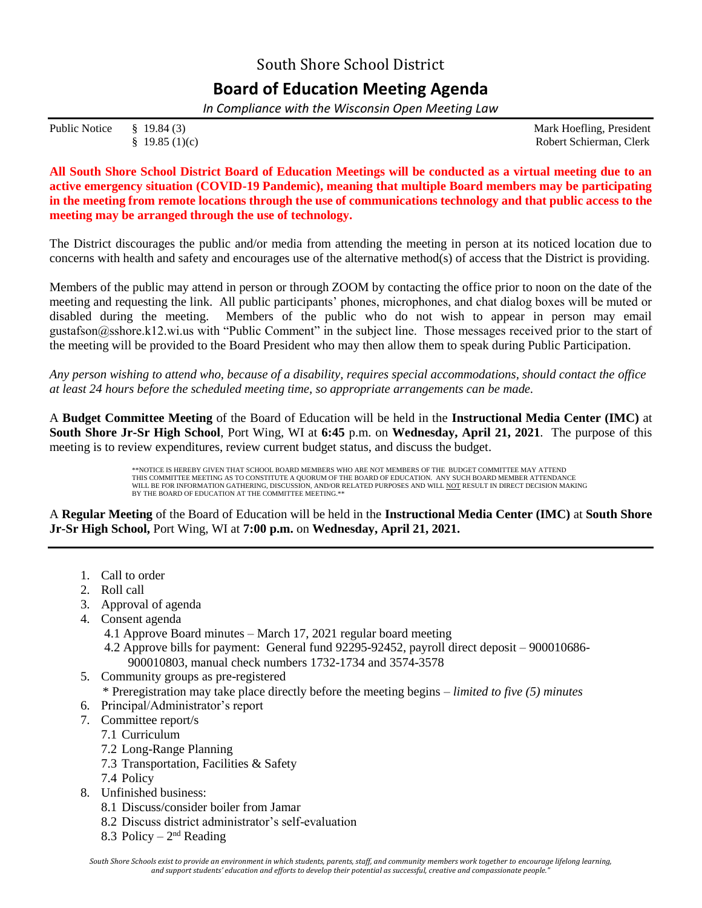## South Shore School District

## **Board of Education Meeting Agenda**

*In Compliance with the Wisconsin Open Meeting Law*

Public Notice § 19.84 (3) Mark Hoefling, President

§ 19.85 (1)(c) Robert Schierman, Clerk

**All South Shore School District Board of Education Meetings will be conducted as a virtual meeting due to an active emergency situation (COVID-19 Pandemic), meaning that multiple Board members may be participating in the meeting from remote locations through the use of communications technology and that public access to the meeting may be arranged through the use of technology.**

The District discourages the public and/or media from attending the meeting in person at its noticed location due to concerns with health and safety and encourages use of the alternative method(s) of access that the District is providing.

Members of the public may attend in person or through ZOOM by contacting the office prior to noon on the date of the meeting and requesting the link. All public participants' phones, microphones, and chat dialog boxes will be muted or disabled during the meeting. Members of the public who do not wish to appear in person may email gustafson@sshore.k12.wi.us with "Public Comment" in the subject line. Those messages received prior to the start of the meeting will be provided to the Board President who may then allow them to speak during Public Participation.

*Any person wishing to attend who, because of a disability, requires special accommodations, should contact the office at least 24 hours before the scheduled meeting time, so appropriate arrangements can be made.*

A **Budget Committee Meeting** of the Board of Education will be held in the **Instructional Media Center (IMC)** at **South Shore Jr-Sr High School**, Port Wing, WI at **6:45** p.m. on **Wednesday, April 21, 2021**.The purpose of this meeting is to review expenditures, review current budget status, and discuss the budget.

> \*\*NOTICE IS HEREBY GIVEN THAT SCHOOL BOARD MEMBERS WHO ARE NOT MEMBERS OF THE BUDGET COMMITTEE MAY ATTEND THIS COMMITTEE MEETING AS TO CONSTITUTE A QUORUM OF THE BOARD OF EDUCATION. ANY SUCH BOARD MEMBER ATTENDANCE WILL BE FOR INFORMATION GATHERING, DISCUSSION, AND/OR RELATED PURPOSES AND WILL <u>NOT</u> RESULT IN DIRECT DECISION MAKING BY THE BOARD OF EDUCATION AT THE COMMITTEE MEETING.\*

A **Regular Meeting** of the Board of Education will be held in the **Instructional Media Center (IMC)** at **South Shore Jr-Sr High School,** Port Wing, WI at **7:00 p.m.** on **Wednesday, April 21, 2021.**

- 1. Call to order
- 2. Roll call
- 3. Approval of agenda
- 4. Consent agenda
	- 4.1 Approve Board minutes March 17, 2021 regular board meeting
	- 4.2 Approve bills for payment: General fund 92295-92452, payroll direct deposit 900010686- 900010803, manual check numbers 1732-1734 and 3574-3578
- 5. Community groups as pre-registered
	- \* Preregistration may take place directly before the meeting begins *limited to five (5) minutes*
- 6. Principal/Administrator's report
- 7. Committee report/s
	- 7.1 Curriculum
	- 7.2 Long-Range Planning
	- 7.3 Transportation, Facilities & Safety
	- 7.4 Policy
- 8. Unfinished business:
	- 8.1 Discuss/consider boiler from Jamar
	- 8.2 Discuss district administrator's self-evaluation
	- 8.3 Policy  $2<sup>nd</sup>$  Reading